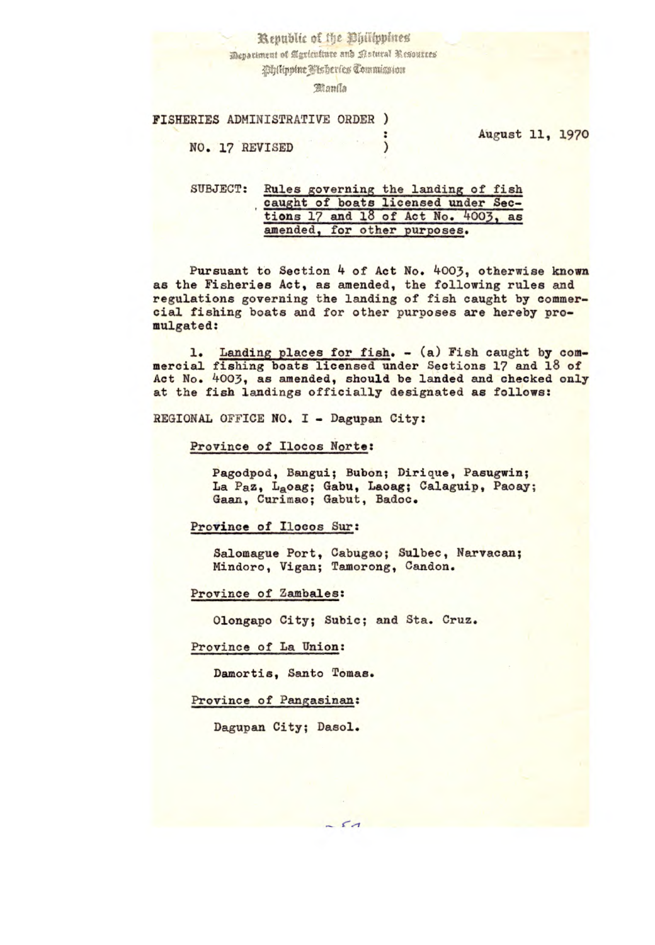Kepublic of the Ohilippines

Mepariment of Agriculture and Patural Resources

Whilippine Pisheries Commission

**Blanda** 

## FISHERIES ADMINISTRATIVE ORDER )

August 11, 1970

NO. 17 REVISED )

## SUBJECT: Rules governing the landing of fish caught of boats licensed under Sections  $17$  and  $18$  of Act No.  $4003$ , as amended, for other purposes.

Pursuant to Section 4 of Act No. 4003, otherwise known as the Fisheries Act, as amended, the following rules and regulations governing the landing of fish caught by commercial fishing boats and for other purposes are hereby promulgated:

1. Landing places for fish. - (a) Fish caught by commercial fishing boats licensed under Sections 17 and 18 of Act No. 4003, as amended, should be landed and checked only at the fish landings officially designated as follows:

REGIONAL OFFICE NO. I - Dagupan City:

# Province of Ilocos Norte:

Pagodpod, Bangui; Bubon; Dirique, Pasugwin; La Paz, Laoag; Gabu, Laoag; Calaguip, Paoay; Gaan, Curimao; Gabut, Badoc.

## Province of Ilocos Sur:

Salomague Port, Cabugao; Sulbec, Narvacan; Mindoro, Vigan; Tamorong, Candon.

Province of Zambales:

Olongapo City; Subic; and Sta. Cruz.

Province of La Union:

Damortis, Santo Tomas.

Province of Pangasinan:

Dagupan City; Dasol.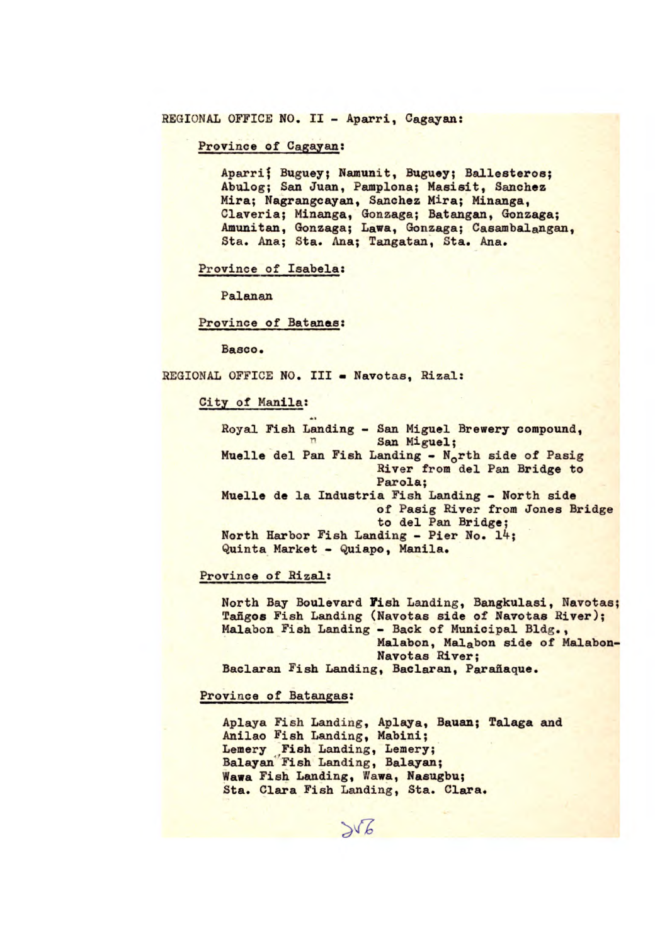REGIONAL OFFICE NO. II - Aparri, Cagayan:

Province of Cagayan:

Aparri; Buguey; Namunit, Buguey; Ballesteros; Abulog; San Juan, Pamplona; Masisit, Sanchez Mira; Nagrangcayan, Sanchez Mira; Minanga, Claveria; Minanga, Gonzaga; Batangan, Gonzaga; Amunitan, Gonzaga; Lawa, Gonzaga; Casambalangan, Sta. Ana; Sta. Ana; Tangatan, Sta. Ana.

Province of Isabela:

Palanan

Province of Batanea:

Basco.

REGIONAL OFFICE NO. III - Navotas, Rizal:

City of Manila:

Royal Fish Landing - San Miguel Brewery compound, San Miguel; Muelle del Pan Fish Landing -  $N_0$ rth side of Pasig River from del Pan Bridge to Parola; Muelle de la Industria Fish Landing - North side of Pasig River from Jones Bridge to del Pan Bridge; North Harbor Fish Landing - Pier No. 14; Quinta Market - Quiapo, Manila.

Province of Rizal:

North Bay Boulevard Fish Landing, Bangkulasi, Navotas; Tañgos Fish Landing (Navotas side of Navotas River); Malabon Fish Landing - Back of Municipal Bldg., Malabon, Malabon side of Malabon-Navotas River; Baclaran Fish Landing, Baclaran, Parafiaque.

Province of Batangas:

Aplaya Fish Landing, Aplaya, Bauan; Talaga and Anilao Fish Landing, Mabini; Lemery Fish Landing, Lemery; Balayan Fish Landing, Balayan; Wawa Fish Landing, Wawa, Nasugbu; Sta. Clara Fish Landing, Sta. Clara.

 $506$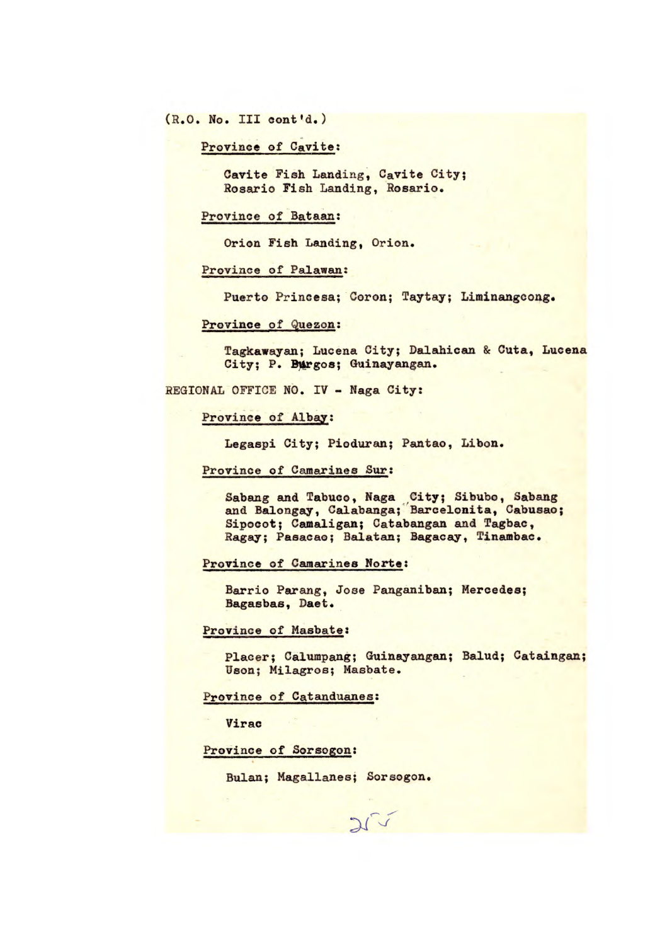(R.O. No. III cont'd.)

Province of Cavite:

Cavite Fish Landing, Cavite City; Rosario Fish Landing, Rosario.

Province of Bataan:

Orion Fish Landing, Orion.

Province of Palawan:

Puerto Princesa; Coron; Taytay; Liminangeong.

#### Province of Quezon:

Tagkawayan; Lucena City; Dalahican & Cuta, Lucena *City; P. Th&rgos; Guinayangan.* 

REGIONAL OFFICE NO. IV - Naga City:

Province of Albay:

Legaspi City; Pioduran; Pantao, *Libon.* 

Province of Camarines Sur:

Sabang and Tabuco, Naga City; Sibubo, Sabang and Balongay, Calabanga; Barcelonita, Cabusao; Sipocot; Camaligan; Catabangan and Tagbac, Ragay; Pasacao; Balatan; Bagacay, Tinambac.

Province of Camarines Norte:

Barrio Parang, Jose Panganiban; Mercedes; Bagasbas, Daet.

 $2\sqrt{v}$ 

Province of Masbate:

Placer; Calumpang; Guinayangan; Balud; Cataingan; Uson; Milagros; Masbate.

Province of Catanduanes:

Virac

Province of Sorsogon:

Bulan; Magallanes; Sorsogon.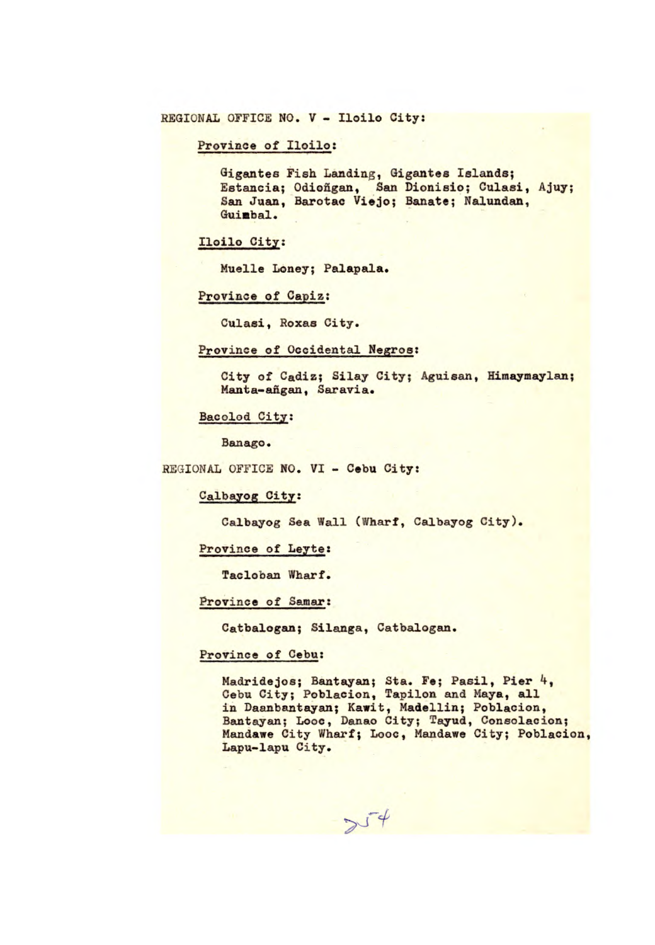Province of Iloilo:

Gigantes Fish Landing, Gigantes Islands; Estancia; Odioñgan, San Dionisio; Culasi, Ajuy; San Juan, Barotac Viejo; Banate; Nalundan, Guimbal.

Iloilo Ciy:

Muelle Loney; Palapala.

Province of Capiz:

Culasi, Roxas City.

#### Province of Occidental Negros:

City of Cadiz; Silay City; Aguisan, Himaymaylan; Manta-añgan, Saravia.

Bacolod City:

Banago.

REGIONAL OFFICE NO. VI - Cebu City:

#### Calbayog City:

Calbayog Sea Wall (Wharf, Calbayog City).

Province of Leyte:

Tacloban Wharf.

Province of Samar:

Catbalogan; Silanga, Catbalogan.

### Province of Cebu:

Madridejos; Bantayan; Sta. Fe; Pasil, Pier 4, Cebu City; Poblacion, Tapilon and Maya, all in Daanbantayan; Kawit, Madellin; Poblacion, Bantayan; Looc, Danao City; Tayud, Consolacion; Mandawe City Wharf; Looc, Mandawe City; Poblacion, Lapu-lapu City.

 $\sim$   $\sqrt{4}$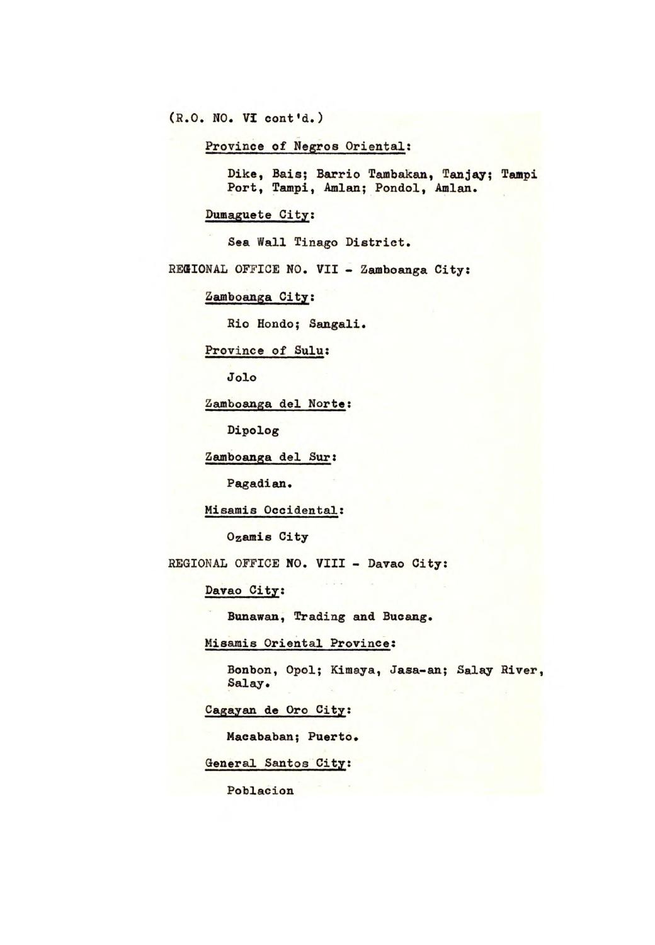(R.O. NO. VI cont'd.)

Province of Negros Oriental:

Dike, Bais; Barrio Tambakan, Tanjay; Tampi Port, Tampi, Amlan; Pondol, Amlan.

Dumaguete City:

Sea Wall Tinago District.

REGIONAL OFFICE NO. VII - Zamboanga City:

Zamboanga City:

Rio Hondo; Sangali.

Province of Sulu:

**Jolo** 

Zamboanga del Norte:

Dipolog

Zamboanga del Sur:

Pagadian.

Misamis Occidental:

Ozamis City

REGIONAL OFFICE NO. VIII - Davao City:

Davao City:

*Bunawan,* Trading and Bucang.

Misamis Oriental Province:

Bonbon, Opol; Kimaya, Jasa-an; Salay River, Salay.

Cagayan de Oro City:

Macababan; Puerto.

General Santos City:

Poblacion